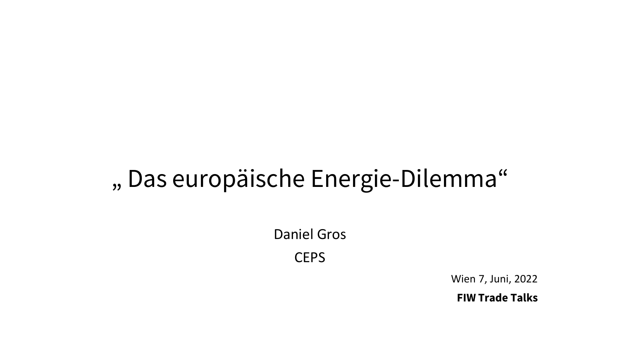#### " Das europäische Energie-Dilemma"

Daniel Gros **CEPS** 

Wien 7, Juni, 2022

**FIW Trade Talks**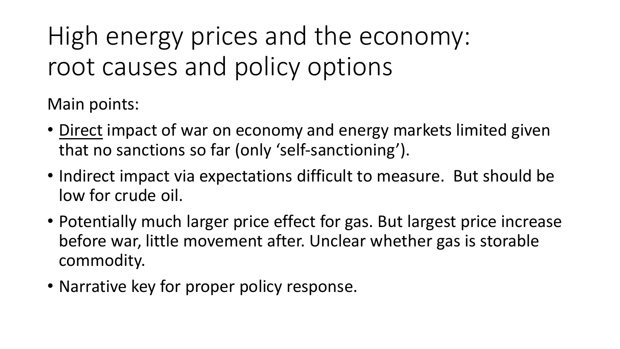# High energy prices and the economy: root causes and policy options

Main points:

- Direct impact of war on economy and energy markets limited given that no sanctions so far (only 'self-sanctioning').
- Indirect impact via expectations difficult to measure. But should be low for crude oil.
- Potentially much larger price effect for gas. But largest price increase before war, little movement after. Unclear whether gas is storable commodity.
- Narrative key for proper policy response.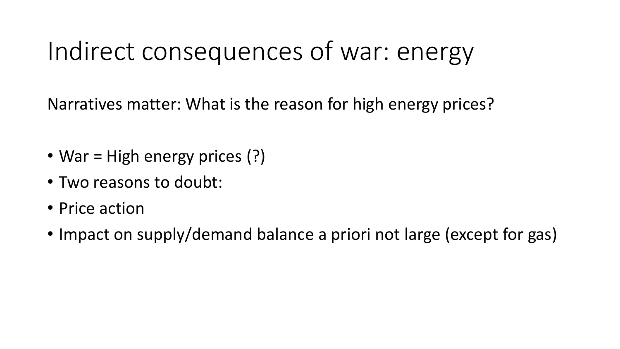### Indirect consequences of war: energy

Narratives matter: What is the reason for high energy prices?

- War = High energy prices (?)
- Two reasons to doubt:
- Price action
- Impact on supply/demand balance a priori not large (except for gas)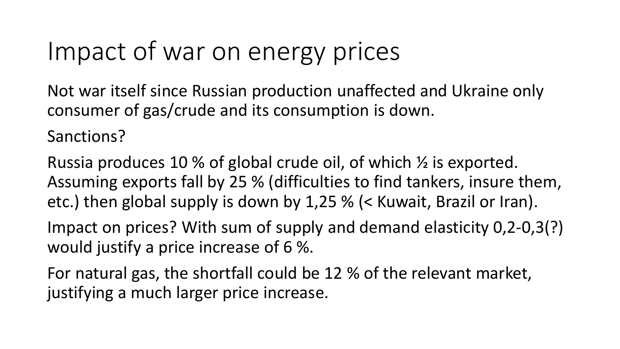#### Impact of war on energy prices

Not war itself since Russian production unaffected and Ukraine only consumer of gas/crude and its consumption is down.

Sanctions?

Russia produces 10 % of global crude oil, of which ½ is exported. Assuming exports fall by 25 % (difficulties to find tankers, insure them, etc.) then global supply is down by 1,25 % (< Kuwait, Brazil or Iran).

Impact on prices? With sum of supply and demand elasticity 0,2-0,3(?) would justify a price increase of 6 %.

For natural gas, the shortfall could be 12 % of the relevant market, justifying a much larger price increase.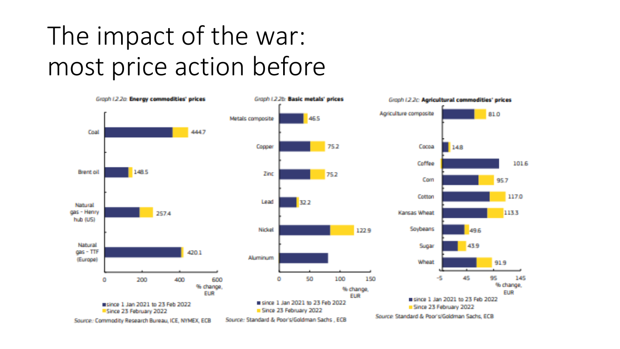## The impact of the war: most price action before

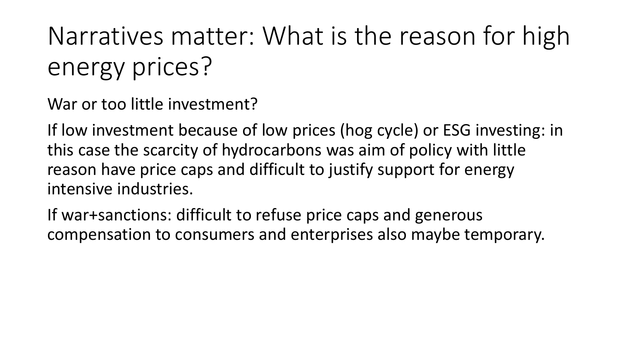# Narratives matter: What is the reason for high energy prices?

War or too little investment?

If low investment because of low prices (hog cycle) or ESG investing: in this case the scarcity of hydrocarbons was aim of policy with little reason have price caps and difficult to justify support for energy intensive industries.

If war+sanctions: difficult to refuse price caps and generous compensation to consumers and enterprises also maybe temporary.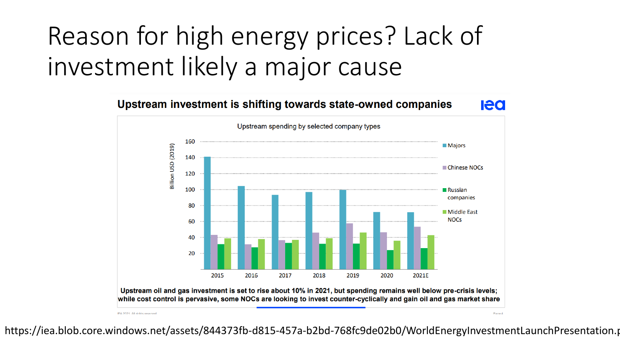# Reason for high energy prices? Lack of investment likely a major cause



https://iea.blob.core.windows.net/assets/844373fb-d815-457a-b2bd-768fc9de02b0/WorldEnergyInvestmentLaunchPresentation.p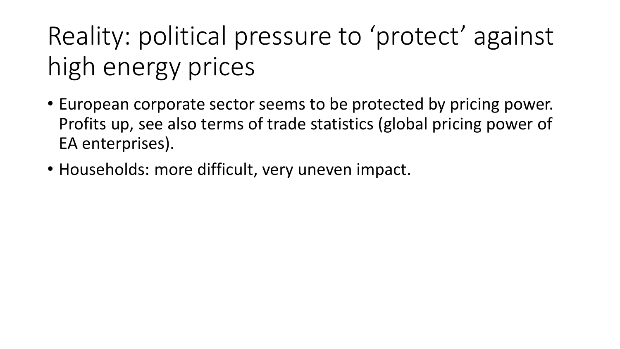# Reality: political pressure to 'protect' against high energy prices

- European corporate sector seems to be protected by pricing power. Profits up, see also terms of trade statistics (global pricing power of EA enterprises).
- Households: more difficult, very uneven impact.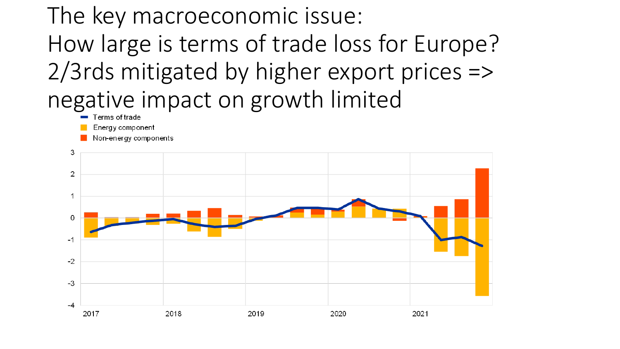### The key macroeconomic issue: How large is terms of trade loss for Europe? 2/3rds mitigated by higher export prices => negative impact on growth limited

- 
- Energy component
- Non-energy components

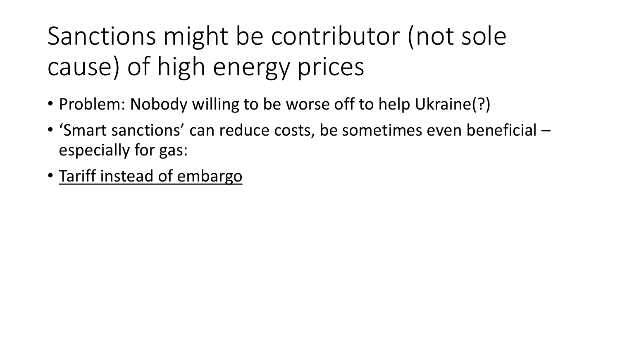# Sanctions might be contributor (not sole cause) of high energy prices

- Problem: Nobody willing to be worse off to help Ukraine(?)
- 'Smart sanctions' can reduce costs, be sometimes even beneficial especially for gas:
- Tariff instead of embargo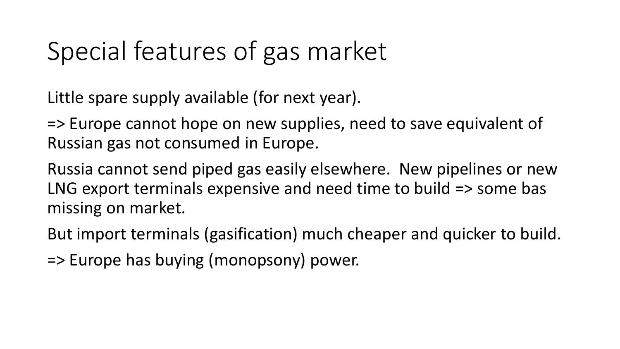#### Special features of gas market

Little spare supply available (for next year).

=> Europe cannot hope on new supplies, need to save equivalent of Russian gas not consumed in Europe.

Russia cannot send piped gas easily elsewhere. New pipelines or new LNG export terminals expensive and need time to build => some bas missing on market.

But import terminals (gasification) much cheaper and quicker to build.

=> Europe has buying (monopsony) power.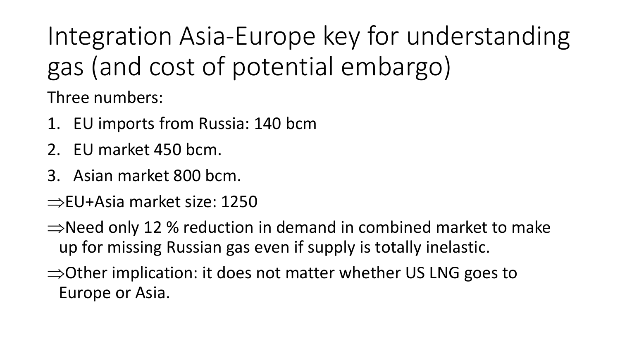Integration Asia-Europe key for understanding gas (and cost of potential embargo)

Three numbers:

- 1. EU imports from Russia: 140 bcm
- 2. EU market 450 bcm.
- 3. Asian market 800 bcm.
- $\Rightarrow$ EU+Asia market size: 1250
- $\Rightarrow$ Need only 12 % reduction in demand in combined market to make up for missing Russian gas even if supply is totally inelastic.
- $\Rightarrow$  Other implication: it does not matter whether US LNG goes to Europe or Asia.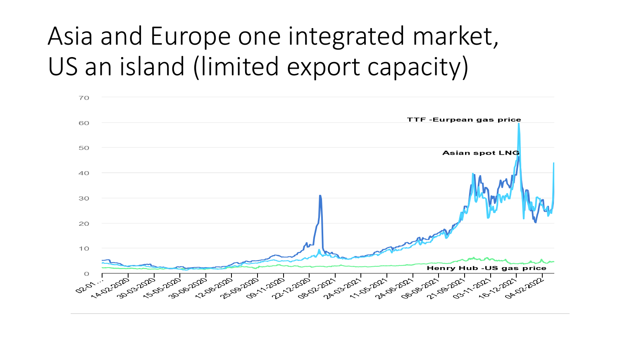## Asia and Europe one integrated market, US an island (limited export capacity)

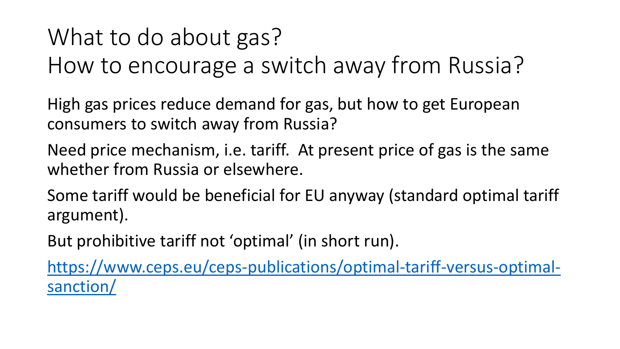#### What to do about gas?

How to encourage a switch away from Russia?

High gas prices reduce demand for gas, but how to get European consumers to switch away from Russia?

Need price mechanism, i.e. tariff. At present price of gas is the same whether from Russia or elsewhere.

Some tariff would be beneficial for EU anyway (standard optimal tariff argument).

But prohibitive tariff not 'optimal' (in short run).

[https://www.ceps.eu/ceps-publications/optimal-tariff-versus-optimal](https://www.ceps.eu/ceps-publications/optimal-tariff-versus-optimal-sanction/)sanction/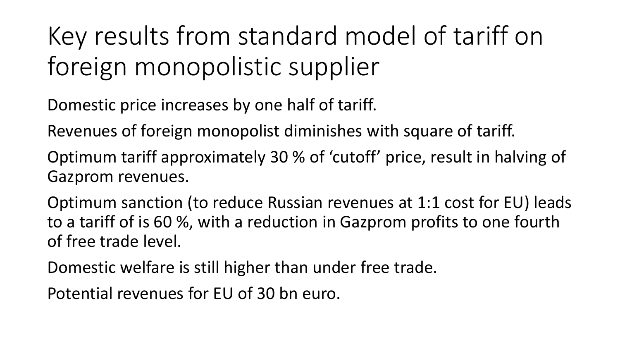Key results from standard model of tariff on foreign monopolistic supplier

Domestic price increases by one half of tariff.

Revenues of foreign monopolist diminishes with square of tariff.

Optimum tariff approximately 30 % of 'cutoff' price, result in halving of Gazprom revenues.

Optimum sanction (to reduce Russian revenues at 1:1 cost for EU) leads to a tariff of is 60 %, with a reduction in Gazprom profits to one fourth of free trade level.

Domestic welfare is still higher than under free trade.

Potential revenues for EU of 30 bn euro.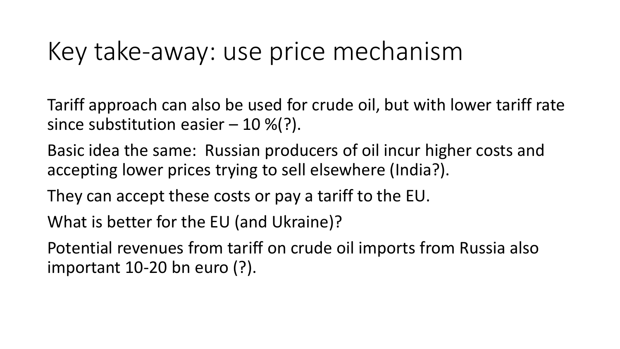#### Key take-away: use price mechanism

Tariff approach can also be used for crude oil, but with lower tariff rate since substitution easier  $-10\%$ ?).

Basic idea the same: Russian producers of oil incur higher costs and accepting lower prices trying to sell elsewhere (India?).

They can accept these costs or pay a tariff to the EU.

What is better for the EU (and Ukraine)?

Potential revenues from tariff on crude oil imports from Russia also important 10-20 bn euro (?).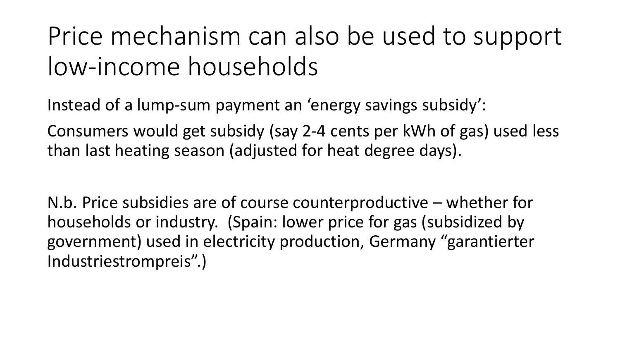### Price mechanism can also be used to support low-income households

Instead of a lump-sum payment an 'energy savings subsidy':

Consumers would get subsidy (say 2-4 cents per kWh of gas) used less than last heating season (adjusted for heat degree days).

N.b. Price subsidies are of course counterproductive – whether for households or industry. (Spain: lower price for gas (subsidized by government) used in electricity production, Germany "garantierter Industriestrompreis".)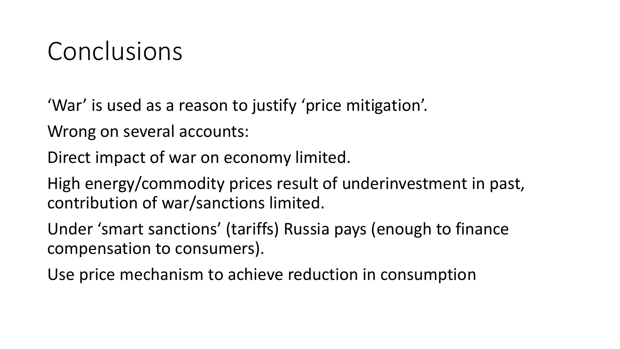#### Conclusions

'War' is used as a reason to justify 'price mitigation'.

Wrong on several accounts:

Direct impact of war on economy limited.

High energy/commodity prices result of underinvestment in past, contribution of war/sanctions limited.

Under 'smart sanctions' (tariffs) Russia pays (enough to finance compensation to consumers).

Use price mechanism to achieve reduction in consumption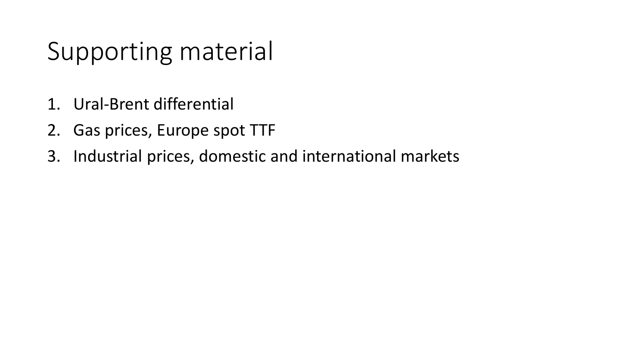### Supporting material

- 1. Ural-Brent differential
- 2. Gas prices, Europe spot TTF
- 3. Industrial prices, domestic and international markets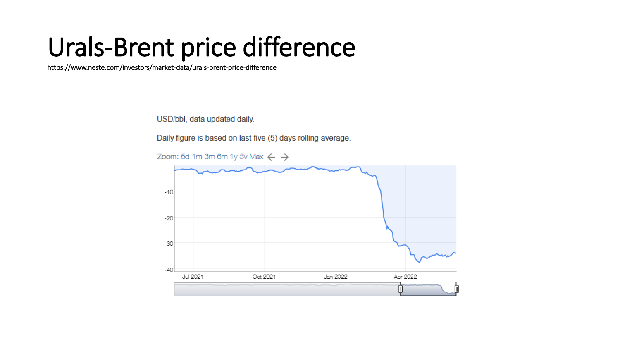### Urals-Brent price difference

https://www.neste.com/investors/market-data/urals-brent-price-difference

USD/bbl, data updated daily.

Daily figure is based on last five (5) days rolling average.

Zoom: 5d 1m 3m 6m 1y 3v Max  $\leftarrow$   $\rightarrow$ 

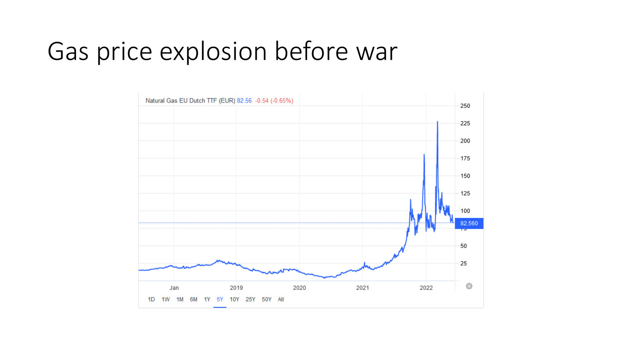### Gas price explosion before war